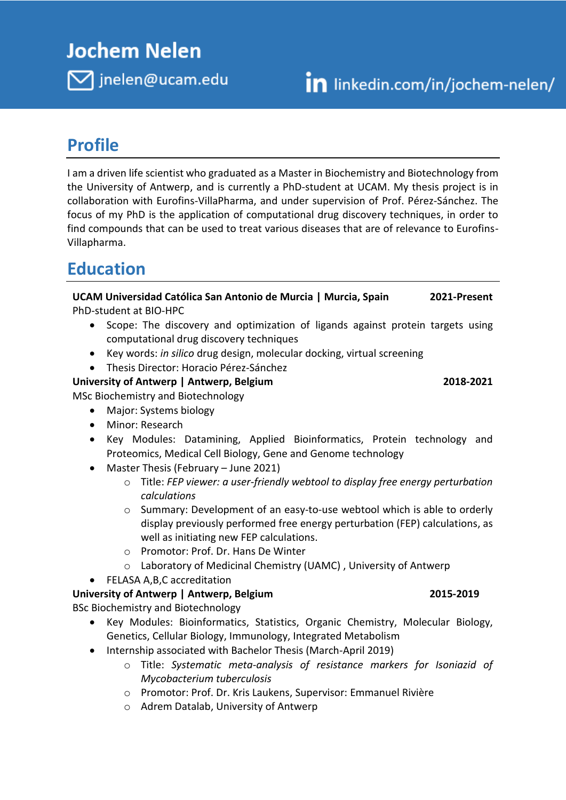# **Jochem Nelen**

 $\nabla$  jnelen@ucam.edu

## **Profile**

I am a driven life scientist who graduated as a Master in Biochemistry and Biotechnology from the University of Antwerp, and is currently a PhD-student at UCAM. My thesis project is in collaboration with Eurofins-VillaPharma, and under supervision of Prof. Pérez-Sánchez. The focus of my PhD is the application of computational drug discovery techniques, in order to find compounds that can be used to treat various diseases that are of relevance to Eurofins-Villapharma.

## **Education**

**UCAM Universidad Católica San Antonio de Murcia | Murcia, Spain 2021-Present** PhD-student at BIO-HPC

- Scope: The discovery and optimization of ligands against protein targets using computational drug discovery techniques
- Key words: *in silico* drug design, molecular docking, virtual screening
- Thesis Director: Horacio Pérez-Sánchez

**University of Antwerp | Antwerp, Belgium 2018-2021**

- MSc Biochemistry and Biotechnology
	- Major: Systems biology
	- Minor: Research
	- Key Modules: Datamining, Applied Bioinformatics, Protein technology and Proteomics, Medical Cell Biology, Gene and Genome technology
	- Master Thesis (February June 2021)
		- o Title: *FEP viewer: a user-friendly webtool to display free energy perturbation calculations*
		- o Summary: Development of an easy-to-use webtool which is able to orderly display previously performed free energy perturbation (FEP) calculations, as well as initiating new FEP calculations.
		- o Promotor: Prof. Dr. Hans De Winter
		- o Laboratory of Medicinal Chemistry (UAMC) , University of Antwerp
	- FELASA A,B,C accreditation

### **University of Antwerp | Antwerp, Belgium 2015-2019**

BSc Biochemistry and Biotechnology

- Key Modules: Bioinformatics, Statistics, Organic Chemistry, Molecular Biology, Genetics, Cellular Biology, Immunology, Integrated Metabolism
- Internship associated with Bachelor Thesis (March-April 2019)
	- o Title: *Systematic meta-analysis of resistance markers for Isoniazid of Mycobacterium tuberculosis*
	- o Promotor: Prof. Dr. Kris Laukens, Supervisor: Emmanuel Rivière
	- o Adrem Datalab, University of Antwerp